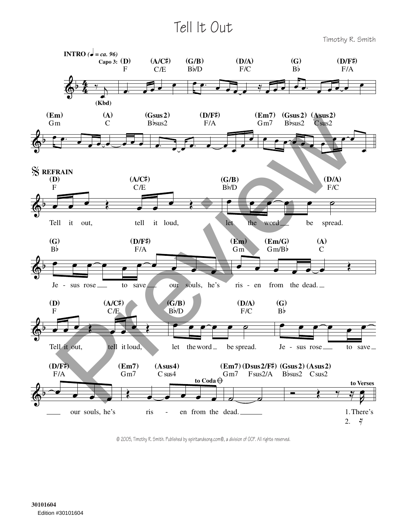## Tell It Out

Timothy R. Smith



© 2005, Timothy R. Smith. Published by spiritandsong.com®, a division of OCP. All rights reserved.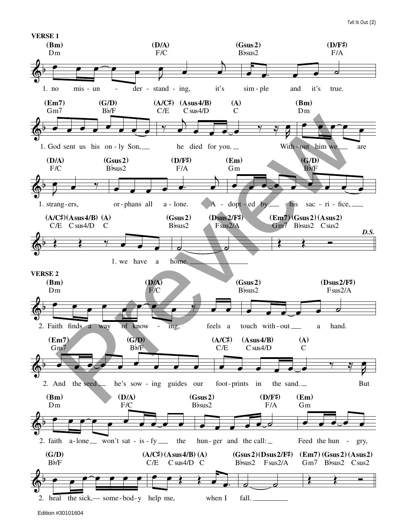